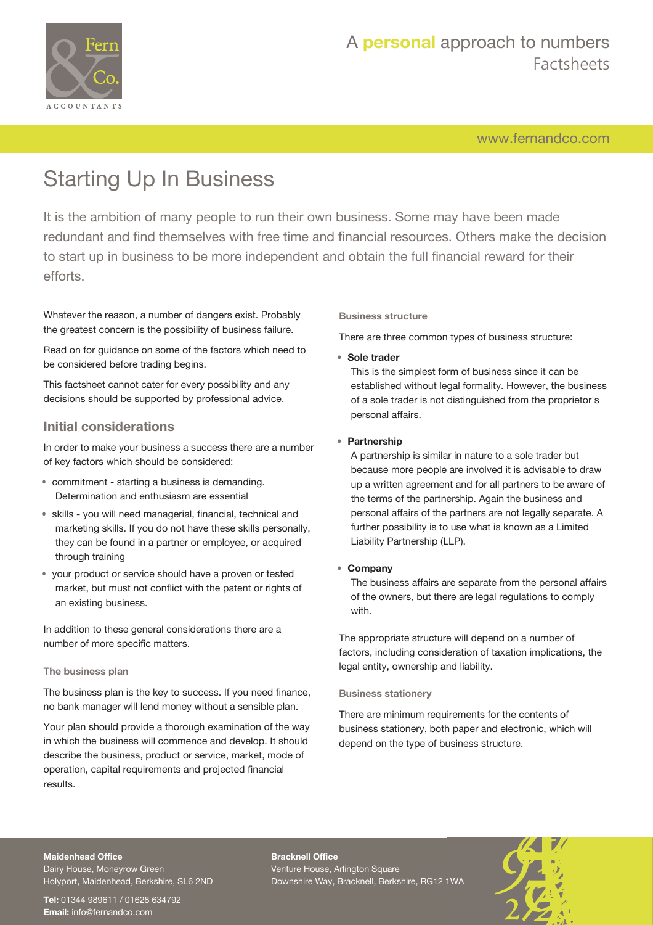

# A **personal** approach to numbers Factsheets

[www.fernandco.com](http://www.fernandco.com)

# Starting Up In Business

It is the ambition of many people to run their own business. Some may have been made redundant and find themselves with free time and financial resources. Others make the decision to start up in business to be more independent and obtain the full financial reward for their efforts.

Whatever the reason, a number of dangers exist. Probably the greatest concern is the possibility of business failure.

Read on for guidance on some of the factors which need to be considered before trading begins.

This factsheet cannot cater for every possibility and any decisions should be supported by professional advice.

### **Initial considerations**

In order to make your business a success there are a number of key factors which should be considered:

- commitment starting a business is demanding. Determination and enthusiasm are essential
- skills you will need managerial, financial, technical and marketing skills. If you do not have these skills personally, they can be found in a partner or employee, or acquired through training
- your product or service should have a proven or tested market, but must not conflict with the patent or rights of an existing business.

In addition to these general considerations there are a number of more specific matters.

#### **The business plan**

The business plan is the key to success. If you need finance, no bank manager will lend money without a sensible plan.

Your plan should provide a thorough examination of the way in which the business will commence and develop. It should describe the business, product or service, market, mode of operation, capital requirements and projected financial results.

**Business structure**

There are three common types of business structure:

• **Sole trader**

This is the simplest form of business since it can be established without legal formality. However, the business of a sole trader is not distinguished from the proprietor's personal affairs.

#### • **Partnership**

A partnership is similar in nature to a sole trader but because more people are involved it is advisable to draw up a written agreement and for all partners to be aware of the terms of the partnership. Again the business and personal affairs of the partners are not legally separate. A further possibility is to use what is known as a Limited Liability Partnership (LLP).

#### • **Company**

The business affairs are separate from the personal affairs of the owners, but there are legal regulations to comply with.

The appropriate structure will depend on a number of factors, including consideration of taxation implications, the legal entity, ownership and liability.

#### **Business stationery**

There are minimum requirements for the contents of business stationery, both paper and electronic, which will depend on the type of business structure.

#### **Maidenhead Office**

Dairy House, Moneyrow Green Holyport, Maidenhead, Berkshire, SL6 2ND

**Tel:** 01344 989611 / 01628 634792 **Email:** [info@fernandco.com](mailto:info@fernandco.com)

**Bracknell Office** Venture House, Arlington Square Downshire Way, Bracknell, Berkshire, RG12 1WA

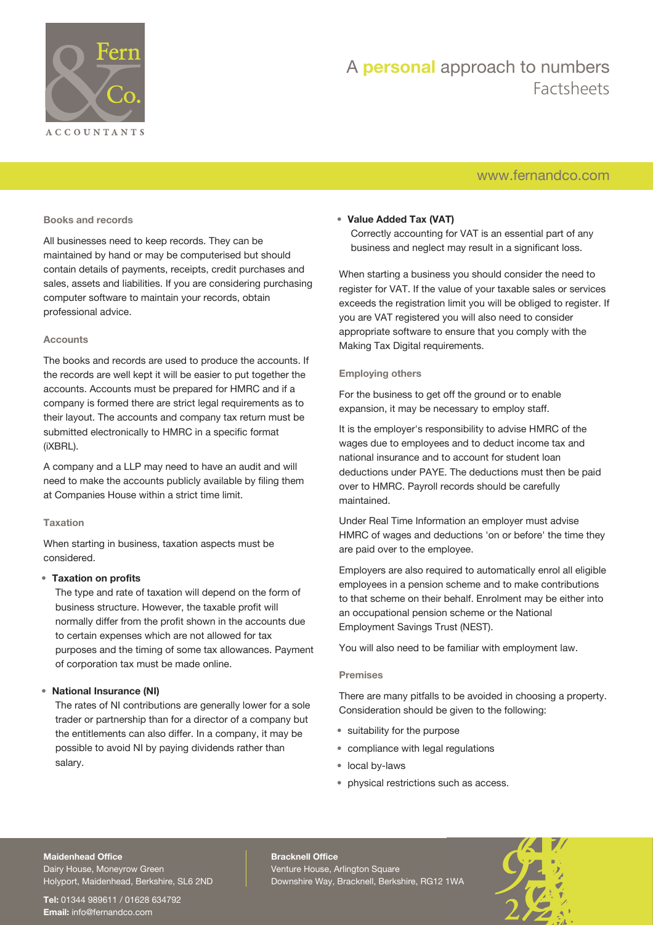

# A **personal** approach to numbers Factsheets

### [www.fernandco.com](http://www.fernandco.com)

#### **Books and records**

All businesses need to keep records. They can be maintained by hand or may be computerised but should contain details of payments, receipts, credit purchases and sales, assets and liabilities. If you are considering purchasing computer software to maintain your records, obtain professional advice.

#### **Accounts**

The books and records are used to produce the accounts. If the records are well kept it will be easier to put together the accounts. Accounts must be prepared for HMRC and if a company is formed there are strict legal requirements as to their layout. The accounts and company tax return must be submitted electronically to HMRC in a specific format (iXBRL).

A company and a LLP may need to have an audit and will need to make the accounts publicly available by filing them at Companies House within a strict time limit.

#### **Taxation**

When starting in business, taxation aspects must be considered.

#### • **Taxation on profits**

The type and rate of taxation will depend on the form of business structure. However, the taxable profit will normally differ from the profit shown in the accounts due to certain expenses which are not allowed for tax purposes and the timing of some tax allowances. Payment of corporation tax must be made online.

#### • **National Insurance (NI)**

The rates of NI contributions are generally lower for a sole trader or partnership than for a director of a company but the entitlements can also differ. In a company, it may be possible to avoid NI by paying dividends rather than salary.

#### • **Value Added Tax (VAT)**

Correctly accounting for VAT is an essential part of any business and neglect may result in a significant loss.

When starting a business you should consider the need to register for VAT. If the value of your taxable sales or services exceeds the registration limit you will be obliged to register. If you are VAT registered you will also need to consider appropriate software to ensure that you comply with the Making Tax Digital requirements.

#### **Employing others**

For the business to get off the ground or to enable expansion, it may be necessary to employ staff.

It is the employer's responsibility to advise HMRC of the wages due to employees and to deduct income tax and national insurance and to account for student loan deductions under PAYE. The deductions must then be paid over to HMRC. Payroll records should be carefully maintained.

Under Real Time Information an employer must advise HMRC of wages and deductions 'on or before' the time they are paid over to the employee.

Employers are also required to automatically enrol all eligible employees in a pension scheme and to make contributions to that scheme on their behalf. Enrolment may be either into an occupational pension scheme or the National Employment Savings Trust (NEST).

You will also need to be familiar with employment law.

#### **Premises**

There are many pitfalls to be avoided in choosing a property. Consideration should be given to the following:

- suitability for the purpose
- compliance with legal regulations
- local by-laws
- physical restrictions such as access.

#### **Maidenhead Office**

Dairy House, Moneyrow Green Holyport, Maidenhead, Berkshire, SL6 2ND

**Tel:** 01344 989611 / 01628 634792 **Email:** [info@fernandco.com](mailto:info@fernandco.com)

**Bracknell Office** Venture House, Arlington Square Downshire Way, Bracknell, Berkshire, RG12 1WA